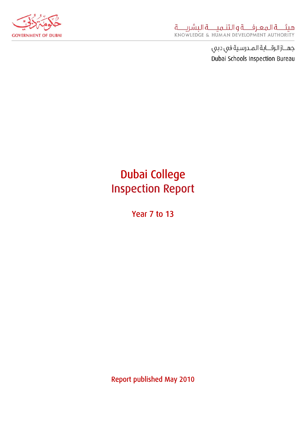

# Dubai College Inspection Report

Year 7 to 13

Report published May 2010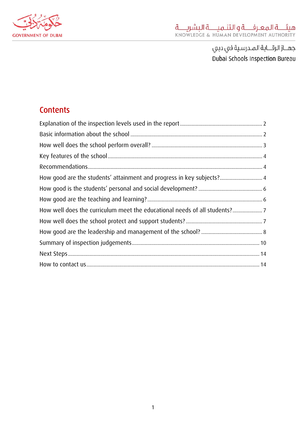

## **Contents**

| How good are the students' attainment and progress in key subjects? 4    |  |
|--------------------------------------------------------------------------|--|
|                                                                          |  |
|                                                                          |  |
| How well does the curriculum meet the educational needs of all students? |  |
|                                                                          |  |
|                                                                          |  |
|                                                                          |  |
|                                                                          |  |
|                                                                          |  |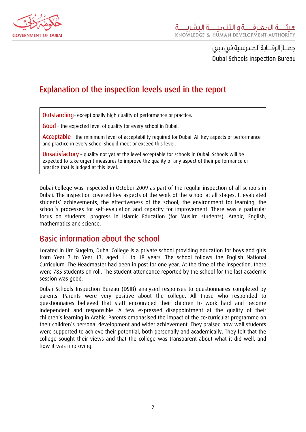<span id="page-2-0"></span>

# Explanation of the inspection levels used in the report

Outstanding-exceptionally high quality of performance or practice.

Good - the expected level of quality for every school in Dubai.

Acceptable – the minimum level of acceptability required for Dubai. All key aspects of performance and practice in every school should meet or exceed this level.

Unsatisfactory - quality not yet at the level acceptable for schools in Dubai. Schools will be expected to take urgent measures to improve the quality of any aspect of their performance or practice that is judged at this level.

Dubai College was inspected in October 2009 as part of the regular inspection of all schools in Dubai. The inspection covered key aspects of the work of the school at all stages. It evaluated students' achievements, the effectiveness of the school, the environment for learning, the school's processes for self-evaluation and capacity for improvement. There was a particular focus on students' progress in Islamic Education (for Muslim students), Arabic, English, mathematics and science.

#### Basic information about the school

Located in Um Suqeim, Dubai College is a private school providing education for boys and girls from Year 7 to Year 13, aged 11 to 18 years. The school follows the English National Curriculum. The Headmaster had been in post for one year. At the time of the inspection, there were 785 students on roll. The student attendance reported by the school for the last academic session was good.

Dubai Schools Inspection Bureau (DSIB) analysed responses to questionnaires completed by parents. Parents were very positive about the college. All those who responded to questionnaires believed that staff encouraged their children to work hard and become independent and responsible. A few expressed disappointment at the quality of their children's learning in Arabic. Parents emphasised the impact of the co-curricular programme on their children's personal development and wider achievement. They praised how well students were supported to achieve their potential, both personally and academically. They felt that the college sought their views and that the college was transparent about what it did well, and how it was improving.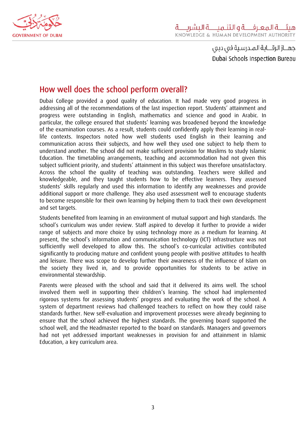<span id="page-3-0"></span>

#### How well does the school perform overall?

Dubai College provided a good quality of education. It had made very good progress in addressing all of the recommendations of the last inspection report. Students' attainment and progress were outstanding in English, mathematics and science and good in Arabic. In particular, the college ensured that students' learning was broadened beyond the knowledge of the examination courses. As a result, students could confidently apply their learning in reallife contexts. Inspectors noted how well students used English in their learning and communication across their subjects, and how well they used one subject to help them to understand another. The school did not make sufficient provision for Muslims to study Islamic Education. The timetabling arrangements, teaching and accommodation had not given this subject sufficient priority, and students' attainment in this subject was therefore unsatisfactory. Across the school the quality of teaching was outstanding. Teachers were skilled and knowledgeable, and they taught students how to be effective learners. They assessed students' skills regularly and used this information to identify any weaknesses and provide additional support or more challenge. They also used assessment well to encourage students to become responsible for their own learning by helping them to track their own development and set targets.

Students benefited from learning in an environment of mutual support and high standards. The school's curriculum was under review. Staff aspired to develop it further to provide a wider range of subjects and more choice by using technology more as a medium for learning. At present, the school's information and communication technology (ICT) infrastructure was not sufficiently well developed to allow this. The school's co-curricular activities contributed significantly to producing mature and confident young people with positive attitudes to health and leisure. There was scope to develop further their awareness of the influence of Islam on the society they lived in, and to provide opportunities for students to be active in environmental stewardship.

Parents were pleased with the school and said that it delivered its aims well. The school involved them well in supporting their children's learning. The school had implemented rigorous systems for assessing students' progress and evaluating the work of the school. A system of department reviews had challenged teachers to reflect on how they could raise standards further. New self-evaluation and improvement processes were already beginning to ensure that the school achieved the highest standards. The governing board supported the school well, and the Headmaster reported to the board on standards. Managers and governors had not yet addressed important weaknesses in provision for and attainment in Islamic Education, a key curriculum area.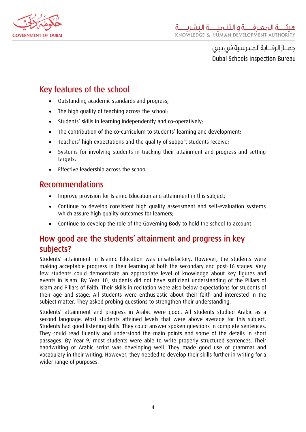<span id="page-4-0"></span>

# Key features of the school

- Outstanding academic standards and progress;
- The high quality of teaching across the school;
- Students' skills in learning independently and co-operatively;
- The contribution of the co-curriculum to students' learning and development;
- Teachers' high expectations and the quality of support students receive;
- Systems for involving students in tracking their attainment and progress and setting targets;
- Effective leadership across the school.

#### Recommendations

- Improve provision for Islamic Education and attainment in this subject;
- Continue to develop consistent high quality assessment and self-evaluation systems which assure high quality outcomes for learners;
- Continue to develop the role of the Governing Body to hold the school to account.

## How good are the students' attainment and progress in key subjects?

Students' attainment in Islamic Education was unsatisfactory. However, the students were making acceptable progress in their learning at both the secondary and post-16 stages. Very few students could demonstrate an appropriate level of knowledge about key figures and events in Islam. By Year 10, students did not have sufficient understanding of the Pillars of Islam and Pillars of Faith. Their skills in recitation were also below expectations for students of their age and stage. All students were enthusiastic about their faith and interested in the subject matter. They asked probing questions to strengthen their understanding.

Students' attainment and progress in Arabic were good. All students studied Arabic as a second language. Most students attained levels that were above average for this subject. Students had good listening skills. They could answer spoken questions in complete sentences. They could read fluently and understood the main points and some of the details in short passages. By Year 9, most students were able to write properly structured sentences. Their handwriting of Arabic script was developing well. They made good use of grammar and vocabulary in their writing. However, they needed to develop their skills further in writing for a wider range of purposes.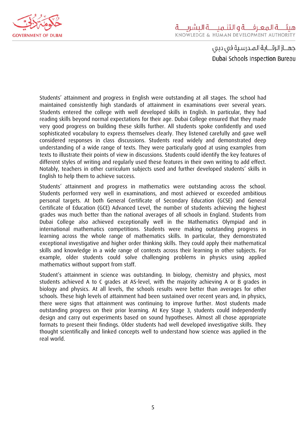

Students' attainment and progress in English were outstanding at all stages. The school had maintained consistently high standards of attainment in examinations over several years. Students entered the college with well developed skills in English. In particular, they had reading skills beyond normal expectations for their age. Dubai College ensured that they made very good progress on building these skills further. All students spoke confidently and used sophisticated vocabulary to express themselves clearly. They listened carefully and gave well considered responses in class discussions. Students read widely and demonstrated deep understanding of a wide range of texts. They were particularly good at using examples from texts to illustrate their points of view in discussions. Students could identify the key features of different styles of writing and regularly used these features in their own writing to add effect. Notably, teachers in other curriculum subjects used and further developed students' skills in English to help them to achieve success.

Students' attainment and progress in mathematics were outstanding across the school. Students performed very well in examinations, and most achieved or exceeded ambitious personal targets. At both General Certificate of Secondary Education (GCSE) and General Certificate of Education (GCE) Advanced Level, the number of students achieving the highest grades was much better than the national averages of all schools in England. Students from Dubai College also achieved exceptionally well in the Mathematics Olympiad and in international mathematics competitions. Students were making outstanding progress in learning across the whole range of mathematics skills. In particular, they demonstrated exceptional investigative and higher order thinking skills. They could apply their mathematical skills and knowledge in a wide range of contexts across their learning in other subjects. For example, older students could solve challenging problems in physics using applied mathematics without support from staff.

Student's attainment in science was outstanding. In biology, chemistry and physics, most students achieved A to C grades at AS-level, with the majority achieving A or B grades in biology and physics. At all levels, the schools results were better than averages for other schools. These high levels of attainment had been sustained over recent years and, in physics, there were signs that attainment was continuing to improve further. Most students made outstanding progress on their prior learning. At Key Stage 3, students could independently design and carry out experiments based on sound hypotheses. Almost all chose appropriate formats to present their findings. Older students had well developed investigative skills. They thought scientifically and linked concepts well to understand how science was applied in the real world.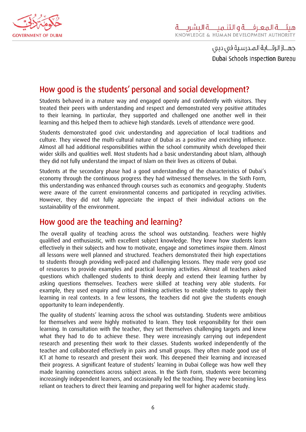<span id="page-6-0"></span>

## How good is the students' personal and social development?

Students behaved in a mature way and engaged openly and confidently with visitors. They treated their peers with understanding and respect and demonstrated very positive attitudes to their learning. In particular, they supported and challenged one another well in their learning and this helped them to achieve high standards. Levels of attendance were good.

Students demonstrated good civic understanding and appreciation of local traditions and culture. They viewed the multi-cultural nature of Dubai as a positive and enriching influence. Almost all had additional responsibilities within the school community which developed their wider skills and qualities well. Most students had a basic understanding about Islam, although they did not fully understand the impact of Islam on their lives as citizens of Dubai.

Students at the secondary phase had a good understanding of the characteristics of Dubai's economy through the continuous progress they had witnessed themselves. In the Sixth Form, this understanding was enhanced through courses such as economics and geography. Students were aware of the current environmental concerns and participated in recycling activities. However, they did not fully appreciate the impact of their individual actions on the sustainability of the environment.

#### How good are the teaching and learning?

The overall quality of teaching across the school was outstanding. Teachers were highly qualified and enthusiastic, with excellent subject knowledge. They knew how students learn effectively in their subjects and how to motivate, engage and sometimes inspire them. Almost all lessons were well planned and structured. Teachers demonstrated their high expectations to students through providing well-paced and challenging lessons. They made very good use of resources to provide examples and practical learning activities. Almost all teachers asked questions which challenged students to think deeply and extend their learning further by asking questions themselves. Teachers were skilled at teaching very able students. For example, they used enquiry and critical thinking activities to enable students to apply their learning in real contexts. In a few lessons, the teachers did not give the students enough opportunity to learn independently.

The quality of students' learning across the school was outstanding. Students were ambitious for themselves and were highly motivated to learn. They took responsibility for their own learning. In consultation with the teacher, they set themselves challenging targets and knew what they had to do to achieve these. They were increasingly carrying out independent research and presenting their work to their classes. Students worked independently of the teacher and collaborated effectively in pairs and small groups. They often made good use of ICT at home to research and present their work. This deepened their learning and increased their progress. A significant feature of students' learning in Dubai College was how well they made learning connections across subject areas. In the Sixth Form, students were becoming increasingly independent learners, and occasionally led the teaching. They were becoming less reliant on teachers to direct their learning and preparing well for higher academic study.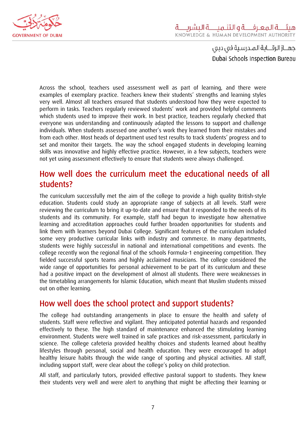<span id="page-7-0"></span>

Across the school, teachers used assessment well as part of learning, and there were examples of exemplary practice. Teachers knew their students' strengths and learning styles very well. Almost all teachers ensured that students understood how they were expected to perform in tasks. Teachers regularly reviewed students' work and provided helpful comments which students used to improve their work. In best practice, teachers regularly checked that everyone was understanding and continuously adapted the lessons to support and challenge individuals. When students assessed one another's work they learned from their mistakes and from each other. Most heads of department used test results to track students' progress and to set and monitor their targets. The way the school engaged students in developing learning skills was innovative and highly effective practice. However, in a few subjects, teachers were not yet using assessment effectively to ensure that students were always challenged.

#### How well does the curriculum meet the educational needs of all students?

The curriculum successfully met the aim of the college to provide a high quality British-style education. Students could study an appropriate range of subjects at all levels. Staff were reviewing the curriculum to bring it up-to-date and ensure that it responded to the needs of its students and its community. For example, staff had begun to investigate how alternative learning and accreditation approaches could further broaden opportunities for students and link them with learners beyond Dubai College. Significant features of the curriculum included some very productive curricular links with industry and commerce. In many departments, students were highly successful in national and international competitions and events. The college recently won the regional final of the schools Formula-1 engineering competition. They fielded successful sports teams and highly acclaimed musicians. The college considered the wide range of opportunities for personal achievement to be part of its curriculum and these had a positive impact on the development of almost all students. There were weaknesses in the timetabling arrangements for Islamic Education, which meant that Muslim students missed out on other learning.

#### How well does the school protect and support students?

The college had outstanding arrangements in place to ensure the health and safety of students. Staff were reflective and vigilant. They anticipated potential hazards and responded effectively to these. The high standard of maintenance enhanced the stimulating learning environment. Students were well trained in safe practices and risk-assessment, particularly in science. The college cafeteria provided healthy choices and students learned about healthy lifestyles through personal, social and health education. They were encouraged to adopt healthy leisure habits through the wide range of sporting and physical activities. All staff, including support staff, were clear about the college's policy on child protection.

All staff, and particularly tutors, provided effective pastoral support to students. They knew their students very well and were alert to anything that might be affecting their learning or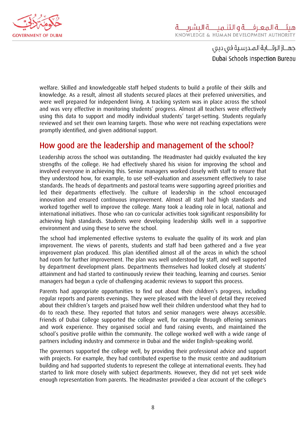<span id="page-8-0"></span>

welfare. Skilled and knowledgeable staff helped students to build a profile of their skills and knowledge. As a result, almost all students secured places at their preferred universities, and were well prepared for independent living. A tracking system was in place across the school and was very effective in monitoring students' progress. Almost all teachers were effectively using this data to support and modify individual students' target-setting. Students regularly reviewed and set their own learning targets. Those who were not reaching expectations were promptly identified, and given additional support.

#### How good are the leadership and management of the school?

Leadership across the school was outstanding. The Headmaster had quickly evaluated the key strengths of the college. He had effectively shared his vision for improving the school and involved everyone in achieving this. Senior managers worked closely with staff to ensure that they understood how, for example, to use self-evaluation and assessment effectively to raise standards. The heads of departments and pastoral teams were supporting agreed priorities and led their departments effectively. The culture of leadership in the school encouraged innovation and ensured continuous improvement. Almost all staff had high standards and worked together well to improve the college. Many took a leading role in local, national and international initiatives. Those who ran co-curricular activities took significant responsibility for achieving high standards. Students were developing leadership skills well in a supportive environment and using these to serve the school.

The school had implemented effective systems to evaluate the quality of its work and plan improvement. The views of parents, students and staff had been gathered and a five year improvement plan produced. This plan identified almost all of the areas in which the school had room for further improvement. The plan was well understood by staff, and well supported by department development plans. Departments themselves had looked closely at students' attainment and had started to continuously review their teaching, learning and courses. Senior managers had begun a cycle of challenging academic reviews to support this process.

Parents had appropriate opportunities to find out about their children's progress, including regular reports and parents evenings. They were pleased with the level of detail they received about their children's targets and praised how well their children understood what they had to do to reach these. They reported that tutors and senior managers were always accessible. Friends of Dubai College supported the college well, for example through offering seminars and work experience. They organised social and fund raising events, and maintained the school's positive profile within the community. The college worked well with a wide range of partners including industry and commerce in Dubai and the wider English-speaking world.

The governors supported the college well, by providing their professional advice and support with projects. For example, they had contributed expertise to the music centre and auditorium building and had supported students to represent the college at international events. They had started to link more closely with subject departments. However, they did not yet seek wide enough representation from parents. The Headmaster provided a clear account of the college's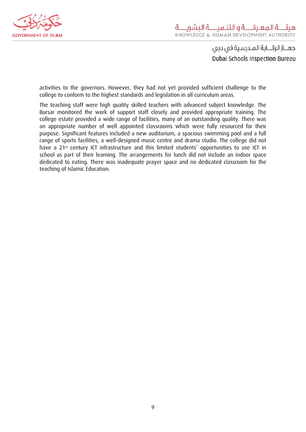

activities to the governors. However, they had not yet provided sufficient challenge to the college to conform to the highest standards and legislation in all curriculum areas.

The teaching staff were high quality skilled teachers with advanced subject knowledge. The Bursar monitored the work of support staff closely and provided appropriate training. The college estate provided a wide range of facilities, many of an outstanding quality. There was an appropriate number of well appointed classrooms which were fully resourced for their purpose. Significant features included a new auditorium, a spacious swimming pool and a full range of sports facilities, a well-designed music centre and drama studio. The college did not have a 21<sup>st</sup> century ICT infrastructure and this limited students' opportunities to use ICT in school as part of their learning. The arrangements for lunch did not include an indoor space dedicated to eating. There was inadequate prayer space and no dedicated classroom for the teaching of Islamic Education.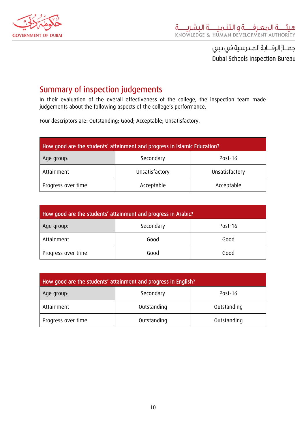<span id="page-10-0"></span>

## Summary of inspection judgements

In their evaluation of the overall effectiveness of the college, the inspection team made judgements about the following aspects of the college's performance.

Four descriptors are: Outstanding; Good; Acceptable; Unsatisfactory.

| How good are the students' attainment and progress in Islamic Education? |                |                |
|--------------------------------------------------------------------------|----------------|----------------|
| Age group:                                                               | Secondary      | Post-16        |
| Attainment                                                               | Unsatisfactory | Unsatisfactory |
| Progress over time                                                       | Acceptable     | Acceptable     |

| How good are the students' attainment and progress in Arabic? |           |         |
|---------------------------------------------------------------|-----------|---------|
| Age group:                                                    | Secondary | Post-16 |
| Attainment                                                    | Good      | Good    |
| Progress over time                                            | Good      | Good    |

| How good are the students' attainment and progress in English? |             |             |
|----------------------------------------------------------------|-------------|-------------|
| Age group:                                                     | Secondary   | Post-16     |
| Attainment                                                     | Outstanding | Outstanding |
| Progress over time                                             | Outstanding | Outstanding |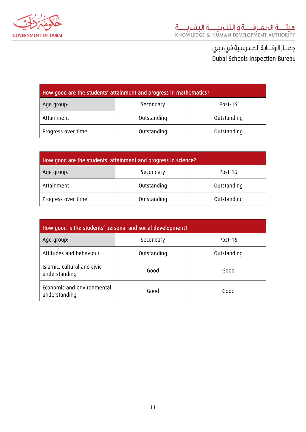

| How good are the students' attainment and progress in mathematics? |             |             |
|--------------------------------------------------------------------|-------------|-------------|
| Age group:                                                         | Secondary   | Post-16     |
| Attainment                                                         | Outstanding | Outstanding |
| Outstanding<br>Outstanding<br>Progress over time                   |             |             |

| How good are the students' attainment and progress in science? |             |             |
|----------------------------------------------------------------|-------------|-------------|
| Age group:                                                     | Secondary   | Post-16     |
| Attainment                                                     | Outstanding | Outstanding |
| Progress over time                                             | Outstanding | Outstanding |

| How good is the students' personal and social development? |             |             |
|------------------------------------------------------------|-------------|-------------|
| Age group:                                                 | Secondary   | Post-16     |
| Attitudes and behaviour                                    | Outstanding | Outstanding |
| Islamic, cultural and civic<br>understanding               | Good        | Good        |
| Economic and environmental<br>understanding                | Good        | Good        |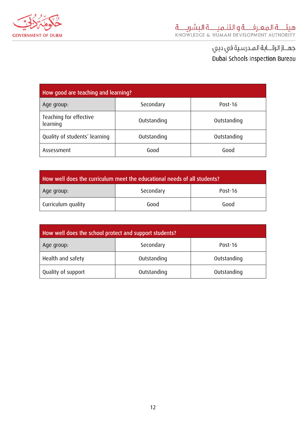

| How good are teaching and learning? |             |             |
|-------------------------------------|-------------|-------------|
| Age group:                          | Secondary   | Post-16     |
| Teaching for effective<br>learning  | Outstanding | Outstanding |
| Quality of students' learning       | Outstanding | Outstanding |
| Assessment                          | Good        | Good        |

| How well does the curriculum meet the educational needs of all students? |           |         |
|--------------------------------------------------------------------------|-----------|---------|
| Age group:                                                               | Secondary | Post-16 |
| Curriculum quality                                                       | Good      | Good    |

| How well does the school protect and support students? |             |             |
|--------------------------------------------------------|-------------|-------------|
| Age group:                                             | Secondary   | Post-16     |
| Health and safety                                      | Outstanding | Outstanding |
| Quality of support<br>Outstanding<br>Outstanding       |             |             |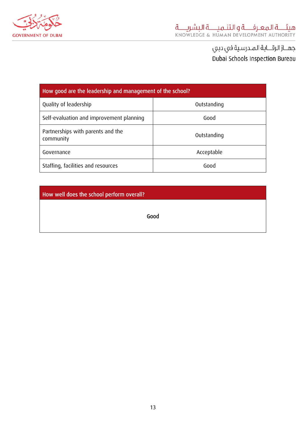

| How good are the leadership and management of the school? |             |  |
|-----------------------------------------------------------|-------------|--|
| Quality of leadership                                     | Outstanding |  |
| Self-evaluation and improvement planning                  | Good        |  |
| Partnerships with parents and the<br>community            | Outstanding |  |
| Governance                                                | Acceptable  |  |
| Staffing, facilities and resources                        | Good        |  |

How well does the school perform overall?

Good

13